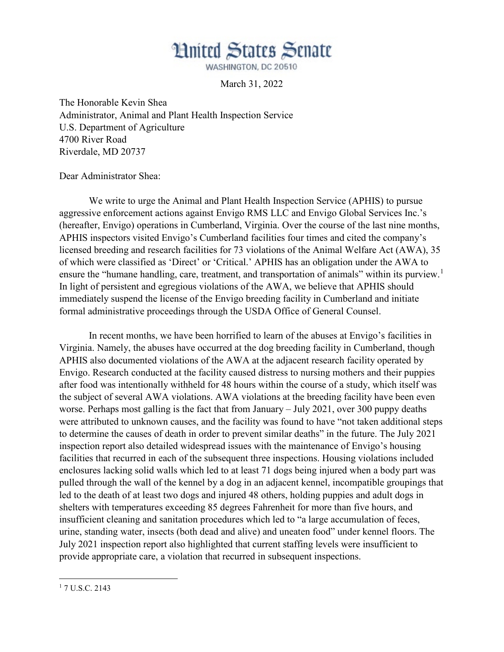## **Hnited States Senate**

WASHINGTON, DC 20510

March 31, 2022

The Honorable Kevin Shea Administrator, Animal and Plant Health Inspection Service U.S. Department of Agriculture 4700 River Road Riverdale, MD 20737

Dear Administrator Shea:

We write to urge the Animal and Plant Health Inspection Service (APHIS) to pursue aggressive enforcement actions against Envigo RMS LLC and Envigo Global Services Inc.'s (hereafter, Envigo) operations in Cumberland, Virginia. Over the course of the last nine months, APHIS inspectors visited Envigo's Cumberland facilities four times and cited the company's licensed breeding and research facilities for 73 violations of the Animal Welfare Act (AWA), 35 of which were classified as 'Direct' or 'Critical.' APHIS has an obligation under the AWA to ensure the "humane handling, care, treatment, and transportation of animals" within its purview.<sup>1</sup> In light of persistent and egregious violations of the AWA, we believe that APHIS should immediately suspend the license of the Envigo breeding facility in Cumberland and initiate formal administrative proceedings through the USDA Office of General Counsel.

In recent months, we have been horrified to learn of the abuses at Envigo's facilities in Virginia. Namely, the abuses have occurred at the dog breeding facility in Cumberland, though APHIS also documented violations of the AWA at the adjacent research facility operated by Envigo. Research conducted at the facility caused distress to nursing mothers and their puppies after food was intentionally withheld for 48 hours within the course of a study, which itself was the subject of several AWA violations. AWA violations at the breeding facility have been even worse. Perhaps most galling is the fact that from January – July 2021, over 300 puppy deaths were attributed to unknown causes, and the facility was found to have "not taken additional steps to determine the causes of death in order to prevent similar deaths" in the future. The July 2021 inspection report also detailed widespread issues with the maintenance of Envigo's housing facilities that recurred in each of the subsequent three inspections. Housing violations included enclosures lacking solid walls which led to at least 71 dogs being injured when a body part was pulled through the wall of the kennel by a dog in an adjacent kennel, incompatible groupings that led to the death of at least two dogs and injured 48 others, holding puppies and adult dogs in shelters with temperatures exceeding 85 degrees Fahrenheit for more than five hours, and insufficient cleaning and sanitation procedures which led to "a large accumulation of feces, urine, standing water, insects (both dead and alive) and uneaten food" under kennel floors. The July 2021 inspection report also highlighted that current staffing levels were insufficient to provide appropriate care, a violation that recurred in subsequent inspections.

l

<sup>&</sup>lt;sup>1</sup> 7 U.S.C. 2143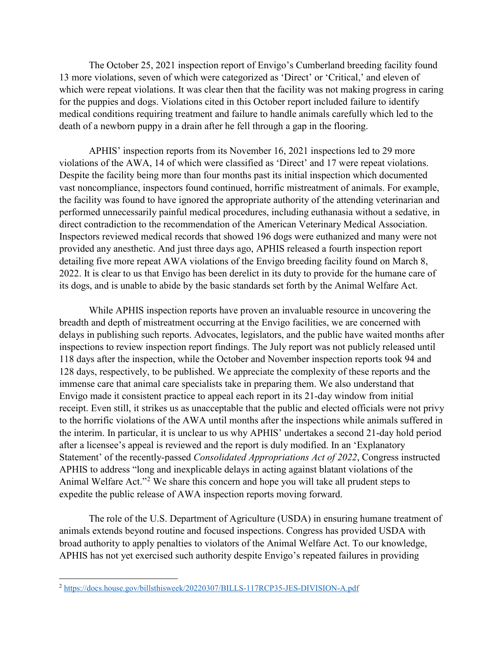The October 25, 2021 inspection report of Envigo's Cumberland breeding facility found 13 more violations, seven of which were categorized as 'Direct' or 'Critical,' and eleven of which were repeat violations. It was clear then that the facility was not making progress in caring for the puppies and dogs. Violations cited in this October report included failure to identify medical conditions requiring treatment and failure to handle animals carefully which led to the death of a newborn puppy in a drain after he fell through a gap in the flooring.

APHIS' inspection reports from its November 16, 2021 inspections led to 29 more violations of the AWA, 14 of which were classified as 'Direct' and 17 were repeat violations. Despite the facility being more than four months past its initial inspection which documented vast noncompliance, inspectors found continued, horrific mistreatment of animals. For example, the facility was found to have ignored the appropriate authority of the attending veterinarian and performed unnecessarily painful medical procedures, including euthanasia without a sedative, in direct contradiction to the recommendation of the American Veterinary Medical Association. Inspectors reviewed medical records that showed 196 dogs were euthanized and many were not provided any anesthetic. And just three days ago, APHIS released a fourth inspection report detailing five more repeat AWA violations of the Envigo breeding facility found on March 8, 2022. It is clear to us that Envigo has been derelict in its duty to provide for the humane care of its dogs, and is unable to abide by the basic standards set forth by the Animal Welfare Act.

While APHIS inspection reports have proven an invaluable resource in uncovering the breadth and depth of mistreatment occurring at the Envigo facilities, we are concerned with delays in publishing such reports. Advocates, legislators, and the public have waited months after inspections to review inspection report findings. The July report was not publicly released until 118 days after the inspection, while the October and November inspection reports took 94 and 128 days, respectively, to be published. We appreciate the complexity of these reports and the immense care that animal care specialists take in preparing them. We also understand that Envigo made it consistent practice to appeal each report in its 21-day window from initial receipt. Even still, it strikes us as unacceptable that the public and elected officials were not privy to the horrific violations of the AWA until months after the inspections while animals suffered in the interim. In particular, it is unclear to us why APHIS' undertakes a second 21-day hold period after a licensee's appeal is reviewed and the report is duly modified. In an 'Explanatory Statement' of the recently-passed *Consolidated Appropriations Act of 2022*, Congress instructed APHIS to address "long and inexplicable delays in acting against blatant violations of the Animal Welfare Act."<sup>2</sup> We share this concern and hope you will take all prudent steps to expedite the public release of AWA inspection reports moving forward.

The role of the U.S. Department of Agriculture (USDA) in ensuring humane treatment of animals extends beyond routine and focused inspections. Congress has provided USDA with broad authority to apply penalties to violators of the Animal Welfare Act. To our knowledge, APHIS has not yet exercised such authority despite Envigo's repeated failures in providing

l

<sup>2</sup> https://docs.house.gov/billsthisweek/20220307/BILLS-117RCP35-JES-DIVISION-A.pdf